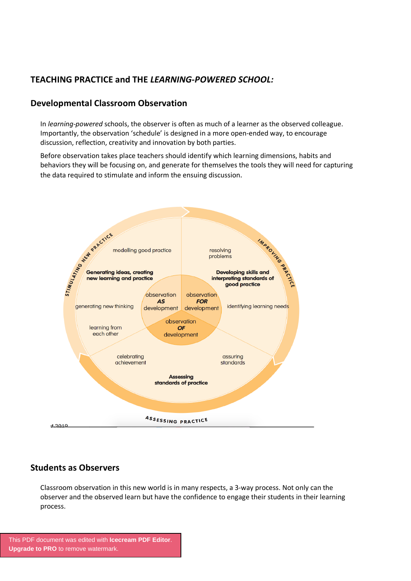# **TEACHING PRACTICE and THE** *LEARNING-POWERED SCHOOL:*

# **Developmental Classroom Observation**

In *learning-powered* schools, the observer is often as much of a learner as the observed colleague. Importantly, the observation 'schedule' is designed in a more open-ended way, to encourage discussion, reflection, creativity and innovation by both parties.

Before observation takes place teachers should identify which learning dimensions, habits and behaviors they will be focusing on, and generate for themselves the tools they will need for capturing the data required to stimulate and inform the ensuing discussion.



# **Students as Observers**

Classroom observation in this new world is in many respects, a 3-way process. Not only can the observer and the observed learn but have the confidence to engage their students in their learning process.

[This PDF document was edited with](https://icecreamapps.com/PDF-Editor/upgrade.html?v=2.46&t=9) **Icecream PDF Editor**. **Upgrade to PRO** to remove watermark.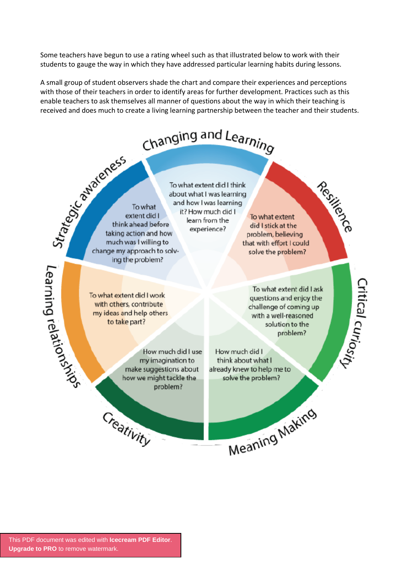Some teachers have begun to use a rating wheel such as that illustrated below to work with their students to gauge the way in which they have addressed particular learning habits during lessons.

A small group of student observers shade the chart and compare their experiences and perceptions with those of their teachers in order to identify areas for further development. Practices such as this enable teachers to ask themselves all manner of questions about the way in which their teaching is received and does much to create a living learning partnership between the teacher and their students.

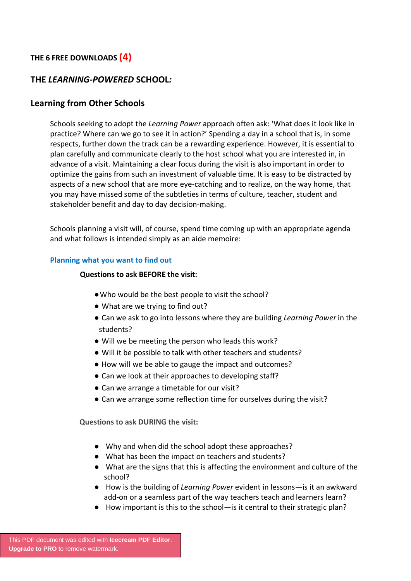# **THE 6 FREE DOWNLOADS (4)**

### **THE** *LEARNING-POWERED* **SCHOOL***:*

#### **Learning from Other Schools**

Schools seeking to adopt the *Learning Power* approach often ask: 'What does it look like in practice? Where can we go to see it in action?' Spending a day in a school that is, in some respects, further down the track can be a rewarding experience. However, it is essential to plan carefully and communicate clearly to the host school what you are interested in, in advance of a visit. Maintaining a clear focus during the visit is also important in order to optimize the gains from such an investment of valuable time. It is easy to be distracted by aspects of a new school that are more eye-catching and to realize, on the way home, that you may have missed some of the subtleties in terms of culture, teacher, student and stakeholder benefit and day to day decision-making.

Schools planning a visit will, of course, spend time coming up with an appropriate agenda and what follows is intended simply as an aide memoire:

#### **Planning what you want to find out**

#### **Questions to ask BEFORE the visit:**

- ●Who would be the best people to visit the school?
- What are we trying to find out?
- Can we ask to go into lessons where they are building *Learning Power* in the students?
- Will we be meeting the person who leads this work?
- Will it be possible to talk with other teachers and students?
- How will we be able to gauge the impact and outcomes?
- Can we look at their approaches to developing staff?
- Can we arrange a timetable for our visit?
- Can we arrange some reflection time for ourselves during the visit?

**Questions to ask DURING the visit:**

- Why and when did the school adopt these approaches?
- What has been the impact on teachers and students?
- What are the signs that this is affecting the environment and culture of the school?
- How is the building of *Learning Power* evident in lessons—is it an awkward add-on or a seamless part of the way teachers teach and learners learn?
- How important is this to the school—is it central to their strategic plan?